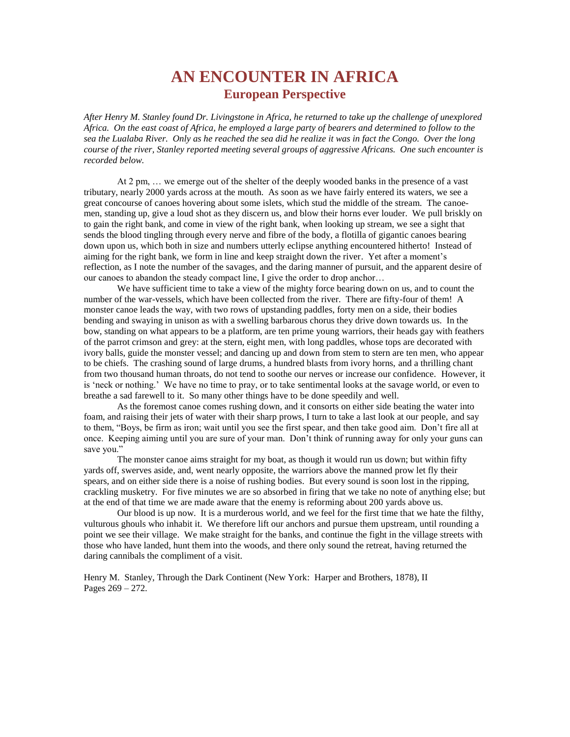## **AN ENCOUNTER IN AFRICA European Perspective**

*After Henry M. Stanley found Dr. Livingstone in Africa, he returned to take up the challenge of unexplored Africa. On the east coast of Africa, he employed a large party of bearers and determined to follow to the sea the Lualaba River. Only as he reached the sea did he realize it was in fact the Congo. Over the long course of the river, Stanley reported meeting several groups of aggressive Africans. One such encounter is recorded below.*

At 2 pm, … we emerge out of the shelter of the deeply wooded banks in the presence of a vast tributary, nearly 2000 yards across at the mouth. As soon as we have fairly entered its waters, we see a great concourse of canoes hovering about some islets, which stud the middle of the stream. The canoemen, standing up, give a loud shot as they discern us, and blow their horns ever louder. We pull briskly on to gain the right bank, and come in view of the right bank, when looking up stream, we see a sight that sends the blood tingling through every nerve and fibre of the body, a flotilla of gigantic canoes bearing down upon us, which both in size and numbers utterly eclipse anything encountered hitherto! Instead of aiming for the right bank, we form in line and keep straight down the river. Yet after a moment's reflection, as I note the number of the savages, and the daring manner of pursuit, and the apparent desire of our canoes to abandon the steady compact line, I give the order to drop anchor…

We have sufficient time to take a view of the mighty force bearing down on us, and to count the number of the war-vessels, which have been collected from the river. There are fifty-four of them! A monster canoe leads the way, with two rows of upstanding paddles, forty men on a side, their bodies bending and swaying in unison as with a swelling barbarous chorus they drive down towards us. In the bow, standing on what appears to be a platform, are ten prime young warriors, their heads gay with feathers of the parrot crimson and grey: at the stern, eight men, with long paddles, whose tops are decorated with ivory balls, guide the monster vessel; and dancing up and down from stem to stern are ten men, who appear to be chiefs. The crashing sound of large drums, a hundred blasts from ivory horns, and a thrilling chant from two thousand human throats, do not tend to soothe our nerves or increase our confidence. However, it is 'neck or nothing.' We have no time to pray, or to take sentimental looks at the savage world, or even to breathe a sad farewell to it. So many other things have to be done speedily and well.

As the foremost canoe comes rushing down, and it consorts on either side beating the water into foam, and raising their jets of water with their sharp prows, I turn to take a last look at our people, and say to them, "Boys, be firm as iron; wait until you see the first spear, and then take good aim. Don't fire all at once. Keeping aiming until you are sure of your man. Don't think of running away for only your guns can save you."

The monster canoe aims straight for my boat, as though it would run us down; but within fifty yards off, swerves aside, and, went nearly opposite, the warriors above the manned prow let fly their spears, and on either side there is a noise of rushing bodies. But every sound is soon lost in the ripping, crackling musketry. For five minutes we are so absorbed in firing that we take no note of anything else; but at the end of that time we are made aware that the enemy is reforming about 200 yards above us.

Our blood is up now. It is a murderous world, and we feel for the first time that we hate the filthy, vulturous ghouls who inhabit it. We therefore lift our anchors and pursue them upstream, until rounding a point we see their village. We make straight for the banks, and continue the fight in the village streets with those who have landed, hunt them into the woods, and there only sound the retreat, having returned the daring cannibals the compliment of a visit.

Henry M. Stanley, Through the Dark Continent (New York: Harper and Brothers, 1878), II Pages 269 – 272.